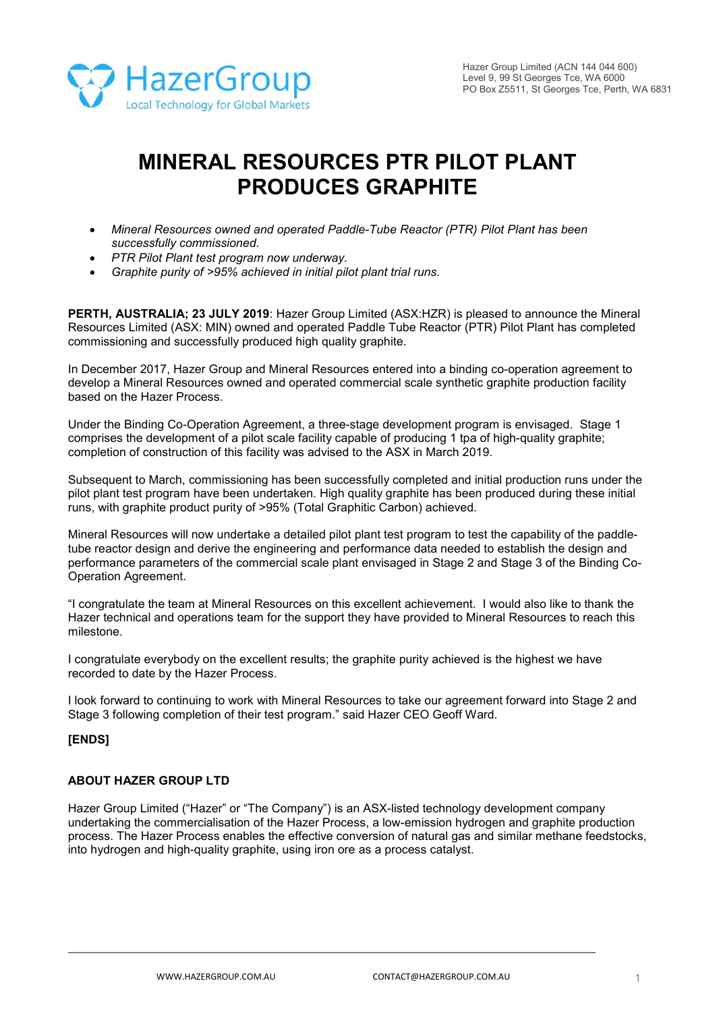

# **MINERAL RESOURCES PTR PILOT PLANT PRODUCES GRAPHITE**

- *Mineral Resources owned and operated Paddle-Tube Reactor (PTR) Pilot Plant has been successfully commissioned.*
- *PTR Pilot Plant test program now underway.*
- *Graphite purity of >95% achieved in initial pilot plant trial runs.*

**PERTH, AUSTRALIA; 23 JULY 2019**: Hazer Group Limited (ASX:HZR) is pleased to announce the Mineral Resources Limited (ASX: MIN) owned and operated Paddle Tube Reactor (PTR) Pilot Plant has completed commissioning and successfully produced high quality graphite.

In December 2017, Hazer Group and Mineral Resources entered into a binding co-operation agreement to develop a Mineral Resources owned and operated commercial scale synthetic graphite production facility based on the Hazer Process.

Under the Binding Co-Operation Agreement, a three-stage development program is envisaged. Stage 1 comprises the development of a pilot scale facility capable of producing 1 tpa of high-quality graphite; completion of construction of this facility was advised to the ASX in March 2019.

Subsequent to March, commissioning has been successfully completed and initial production runs under the pilot plant test program have been undertaken. High quality graphite has been produced during these initial runs, with graphite product purity of >95% (Total Graphitic Carbon) achieved.

Mineral Resources will now undertake a detailed pilot plant test program to test the capability of the paddletube reactor design and derive the engineering and performance data needed to establish the design and performance parameters of the commercial scale plant envisaged in Stage 2 and Stage 3 of the Binding Co-Operation Agreement.

"I congratulate the team at Mineral Resources on this excellent achievement. I would also like to thank the Hazer technical and operations team for the support they have provided to Mineral Resources to reach this milestone.

I congratulate everybody on the excellent results; the graphite purity achieved is the highest we have recorded to date by the Hazer Process.

I look forward to continuing to work with Mineral Resources to take our agreement forward into Stage 2 and Stage 3 following completion of their test program." said Hazer CEO Geoff Ward.

# **[ENDS]**

#### **ABOUT HAZER GROUP LTD**

Hazer Group Limited ("Hazer" or "The Company") is an ASX-listed technology development company undertaking the commercialisation of the Hazer Process, a low-emission hydrogen and graphite production process. The Hazer Process enables the effective conversion of natural gas and similar methane feedstocks, into hydrogen and high-quality graphite, using iron ore as a process catalyst.